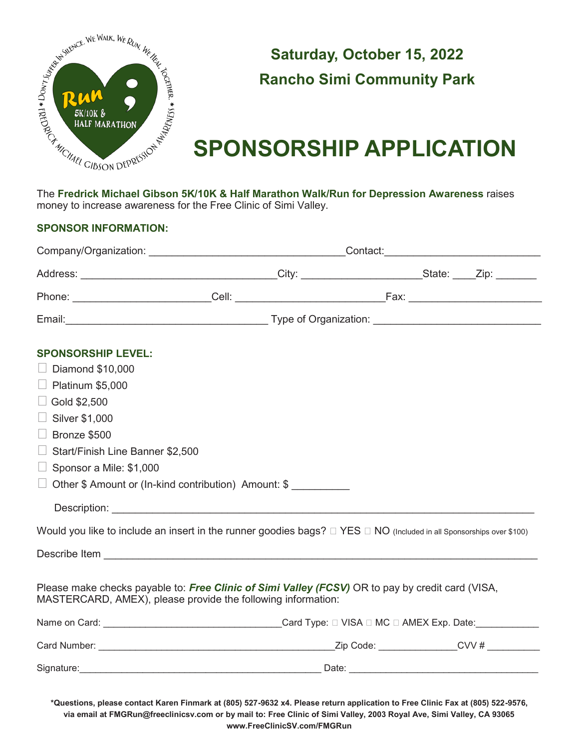

### **Saturday, October 15, 2022 Rancho Simi Community Park**

# **SPONSORSHIP APPLICATION**

The **Fredrick Michael Gibson 5K/10K & Half Marathon Walk/Run for Depression Awareness** raises money to increase awareness for the Free Clinic of Simi Valley.

#### **SPONSOR INFORMATION:**

| <b>SPONSORSHIP LEVEL:</b>                                                                                                                                        |  |  |  |  |
|------------------------------------------------------------------------------------------------------------------------------------------------------------------|--|--|--|--|
| $\Box$ Diamond \$10,000                                                                                                                                          |  |  |  |  |
| $\Box$ Platinum \$5,000                                                                                                                                          |  |  |  |  |
| $\Box$ Gold \$2,500                                                                                                                                              |  |  |  |  |
| $\Box$ Silver \$1,000                                                                                                                                            |  |  |  |  |
| $\Box$ Bronze \$500                                                                                                                                              |  |  |  |  |
| Start/Finish Line Banner \$2,500                                                                                                                                 |  |  |  |  |
| $\Box$ Sponsor a Mile: \$1,000                                                                                                                                   |  |  |  |  |
| $\Box$ Other \$ Amount or (In-kind contribution) Amount: \$                                                                                                      |  |  |  |  |
|                                                                                                                                                                  |  |  |  |  |
| Would you like to include an insert in the runner goodies bags? $\Box$ YES $\Box$ NO (Included in all Sponsorships over \$100)                                   |  |  |  |  |
|                                                                                                                                                                  |  |  |  |  |
|                                                                                                                                                                  |  |  |  |  |
| Please make checks payable to: Free Clinic of Simi Valley (FCSV) OR to pay by credit card (VISA,<br>MASTERCARD, AMEX), please provide the following information: |  |  |  |  |
|                                                                                                                                                                  |  |  |  |  |
|                                                                                                                                                                  |  |  |  |  |
|                                                                                                                                                                  |  |  |  |  |
|                                                                                                                                                                  |  |  |  |  |

**\*Questions, please contact Karen Finmark at (805) 527-9632 x4. Please return application to Free Clinic Fax at (805) 522-9576, via email at FMGRun@freeclinicsv.com or by mail to: Free Clinic of Simi Valley, 2003 Royal Ave, Simi Valley, CA 93065 www.FreeClinicSV.com/FMGRun**